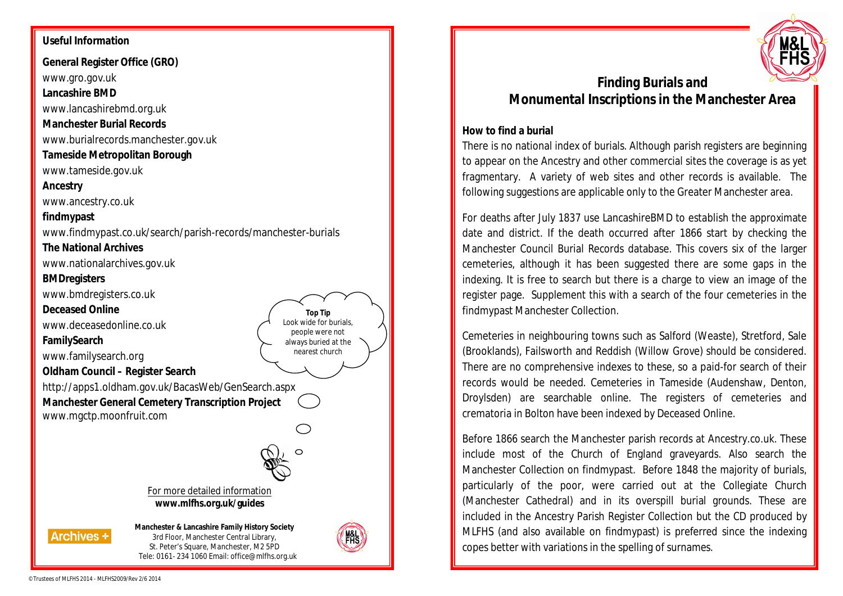### **Useful Information**

**General Register Office (GRO)**

www.gro.gov.uk

**Lancashire BMD**

www.lancashirebmd.org.uk

### **Manchester Burial Records**

www.burialrecords.manchester.gov.uk

### **Tameside Metropolitan Borough**

www.tameside.gov.uk

**Ancestry**

www.ancestry.co.uk

# **findmypast**

www.findmypast.co.uk/search/parish-records/manchester-burials

# **The National Archives**

www.nationalarchives.gov.uk

# **BMDregisters**

www.bmdregisters.co.uk

### **Deceased Online**

www.deceasedonline.co.uk

### **FamilySearch**

www.familysearch.org

# **Oldham Council – Register Search**

http://apps1.oldham.gov.uk/BacasWeb/GenSearch.aspx **Manchester General Cemetery Transcription Project** www.mgctp.moonfruit.com



For more detailed information **www.mlfhs.org.uk/guides**



**Manchester & Lancashire Family History Society** 3rd Floor, Manchester Central Library, St. Peter's Square, Manchester, M2 5PD Tele: 0161- 234 1060 Email: office@mlfhs.org.uk



**Top Tip** Look wide for burials, people were not always buried at the nearest church



# **Finding Burials and Monumental Inscriptions in the Manchester Area**

# **How to find a burial**

There is no national index of burials. Although parish registers are beginning to appear on the Ancestry and other commercial sites the coverage is as yet fragmentary. A variety of web sites and other records is available. The following suggestions are applicable only to the Greater Manchester area.

For deaths after July 1837 use LancashireBMD to establish the approximate date and district. If the death occurred after 1866 start by checking the Manchester Council Burial Records database. This covers six of the larger cemeteries, although it has been suggested there are some gaps in the indexing. It is free to search but there is a charge to view an image of the register page. Supplement this with a search of the four cemeteries in the findmypast Manchester Collection.

Cemeteries in neighbouring towns such as Salford (Weaste), Stretford, Sale (Brooklands), Failsworth and Reddish (Willow Grove) should be considered. There are no comprehensive indexes to these, so a paid-for search of their records would be needed. Cemeteries in Tameside (Audenshaw, Denton, Droylsden) are searchable online. The registers of cemeteries and crematoria in Bolton have been indexed by Deceased Online.

Before 1866 search the Manchester parish records at Ancestry.co.uk. These include most of the Church of England graveyards. Also search the Manchester Collection on findmypast. Before 1848 the majority of burials, particularly of the poor, were carried out at the Collegiate Church (Manchester Cathedral) and in its overspill burial grounds. These are included in the Ancestry Parish Register Collection but the CD produced by MLFHS (and also available on findmypast) is preferred since the indexing copes better with variations in the spelling of surnames.